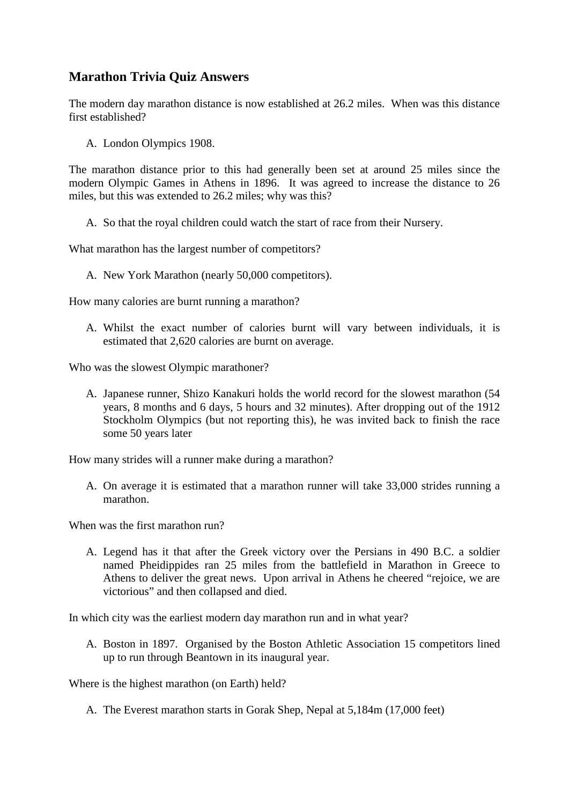## **Marathon Trivia Quiz Answers**

The modern day marathon distance is now established at 26.2 miles. When was this distance first established?

A. London Olympics 1908.

The marathon distance prior to this had generally been set at around 25 miles since the modern Olympic Games in Athens in 1896. It was agreed to increase the distance to 26 miles, but this was extended to 26.2 miles; why was this?

A. So that the royal children could watch the start of race from their Nursery.

What marathon has the largest number of competitors?

A. New York Marathon (nearly 50,000 competitors).

How many calories are burnt running a marathon?

A. Whilst the exact number of calories burnt will vary between individuals, it is estimated that 2,620 calories are burnt on average.

Who was the slowest Olympic marathoner?

A. Japanese runner, Shizo Kanakuri holds the world record for the slowest marathon (54 years, 8 months and 6 days, 5 hours and 32 minutes). After dropping out of the 1912 Stockholm Olympics (but not reporting this), he was invited back to finish the race some 50 years later

How many strides will a runner make during a marathon?

A. On average it is estimated that a marathon runner will take 33,000 strides running a marathon.

When was the first marathon run?

A. Legend has it that after the Greek victory over the Persians in 490 B.C. a soldier named Pheidippides ran 25 miles from the battlefield in Marathon in Greece to Athens to deliver the great news. Upon arrival in Athens he cheered "rejoice, we are victorious" and then collapsed and died.

In which city was the earliest modern day marathon run and in what year?

A. Boston in 1897. Organised by the Boston Athletic Association 15 competitors lined up to run through Beantown in its inaugural year.

Where is the highest marathon (on Earth) held?

A. The Everest marathon starts in Gorak Shep, Nepal at 5,184m (17,000 feet)